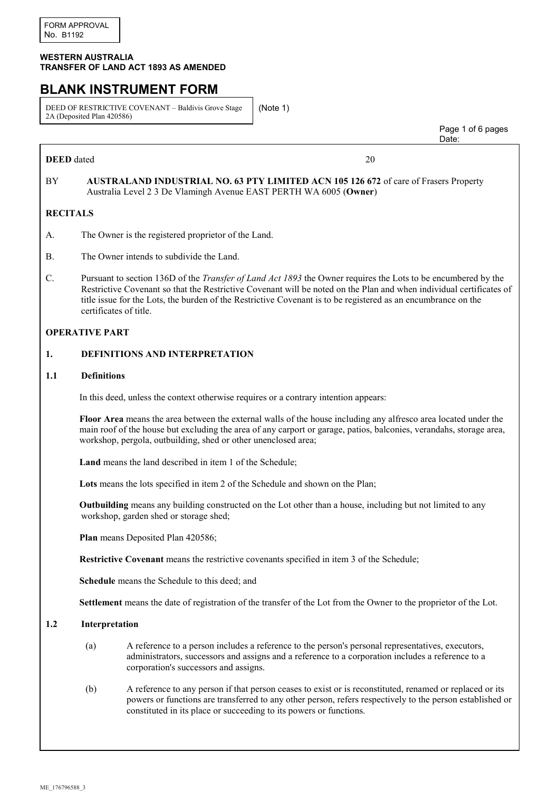#### **WESTERN AUSTRALIA TRANSFER OF LAND ACT 1893 AS AMENDED**

# **BLANK INSTRUMENT FORM**

DEED OF RESTRICTIVE COVENANT – Baldivis Grove Stage 2A (Deposited Plan 420586)

(Note 1)

**DEED** dated 20

 Page 1 of 6 pages discussion of the contract of the contract of the contract of the contract of the contract of the contract of the contract of the contract of the contract of the contract of the contract of the contract of the contract of

# BY **AUSTRALAND INDUSTRIAL NO. 63 PTY LIMITED ACN 105 126 672** of care of Frasers Property Australia Level 2 3 De Vlamingh Avenue EAST PERTH WA 6005 (**Owner**)

## **RECITALS**

- A. The Owner is the registered proprietor of the Land.
- B. The Owner intends to subdivide the Land.
- C. Pursuant to section 136D of the *Transfer of Land Act 1893* the Owner requires the Lots to be encumbered by the Restrictive Covenant so that the Restrictive Covenant will be noted on the Plan and when individual certificates of title issue for the Lots, the burden of the Restrictive Covenant is to be registered as an encumbrance on the certificates of title.

#### **OPERATIVE PART**

#### **1. DEFINITIONS AND INTERPRETATION**

#### **1.1 Definitions**

In this deed, unless the context otherwise requires or a contrary intention appears:

**Floor Area** means the area between the external walls of the house including any alfresco area located under the main roof of the house but excluding the area of any carport or garage, patios, balconies, verandahs, storage area, workshop, pergola, outbuilding, shed or other unenclosed area;

**Land** means the land described in item 1 of the Schedule;

**Lots** means the lots specified in item 2 of the Schedule and shown on the Plan;

**Outbuilding** means any building constructed on the Lot other than a house, including but not limited to any workshop, garden shed or storage shed;

**Plan** means Deposited Plan 420586;

**Restrictive Covenant** means the restrictive covenants specified in item 3 of the Schedule;

**Schedule** means the Schedule to this deed; and

**Settlement** means the date of registration of the transfer of the Lot from the Owner to the proprietor of the Lot.

#### **1.2 Interpretation**

- (a) A reference to a person includes a reference to the person's personal representatives, executors, administrators, successors and assigns and a reference to a corporation includes a reference to a corporation's successors and assigns.
- (b) A reference to any person if that person ceases to exist or is reconstituted, renamed or replaced or its powers or functions are transferred to any other person, refers respectively to the person established or constituted in its place or succeeding to its powers or functions.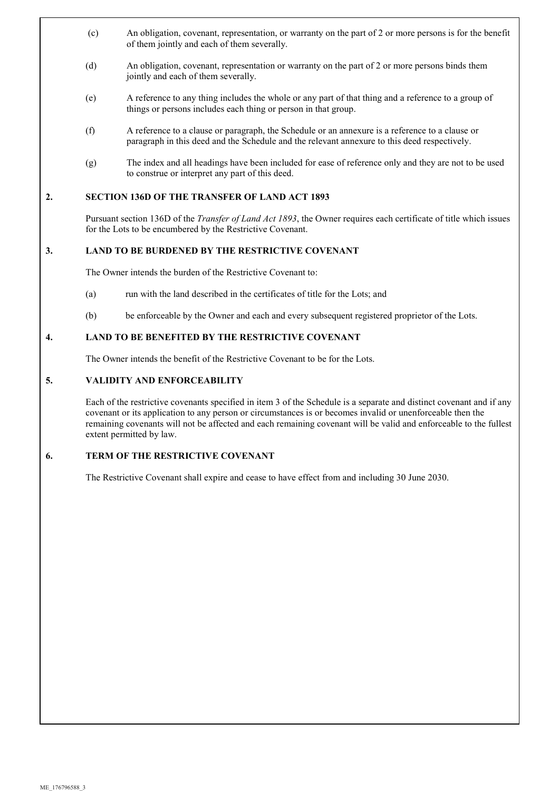- (c) An obligation, covenant, representation, or warranty on the part of 2 or more persons is for the benefit of them jointly and each of them severally.
- (d) An obligation, covenant, representation or warranty on the part of 2 or more persons binds them jointly and each of them severally.
- (e) A reference to any thing includes the whole or any part of that thing and a reference to a group of things or persons includes each thing or person in that group.
- (f) A reference to a clause or paragraph, the Schedule or an annexure is a reference to a clause or paragraph in this deed and the Schedule and the relevant annexure to this deed respectively.
- (g) The index and all headings have been included for ease of reference only and they are not to be used to construe or interpret any part of this deed.

#### **2. SECTION 136D OF THE TRANSFER OF LAND ACT 1893**

Pursuant section 136D of the *Transfer of Land Act 1893*, the Owner requires each certificate of title which issues for the Lots to be encumbered by the Restrictive Covenant.

#### **3. LAND TO BE BURDENED BY THE RESTRICTIVE COVENANT**

The Owner intends the burden of the Restrictive Covenant to:

- (a) run with the land described in the certificates of title for the Lots; and
- (b) be enforceable by the Owner and each and every subsequent registered proprietor of the Lots.

## **4. LAND TO BE BENEFITED BY THE RESTRICTIVE COVENANT**

The Owner intends the benefit of the Restrictive Covenant to be for the Lots.

#### **5. VALIDITY AND ENFORCEABILITY**

Each of the restrictive covenants specified in item 3 of the Schedule is a separate and distinct covenant and if any covenant or its application to any person or circumstances is or becomes invalid or unenforceable then the remaining covenants will not be affected and each remaining covenant will be valid and enforceable to the fullest extent permitted by law.

## **6. TERM OF THE RESTRICTIVE COVENANT**

The Restrictive Covenant shall expire and cease to have effect from and including 30 June 2030.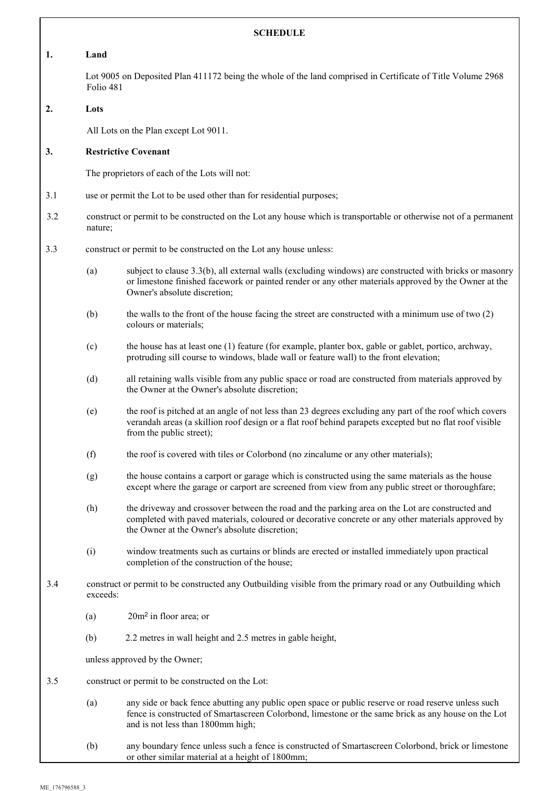| <b>SCHEDULE</b> |                                                                                                                              |                                                                                                                                                                                                                                                        |  |  |
|-----------------|------------------------------------------------------------------------------------------------------------------------------|--------------------------------------------------------------------------------------------------------------------------------------------------------------------------------------------------------------------------------------------------------|--|--|
| 1.              | Land                                                                                                                         |                                                                                                                                                                                                                                                        |  |  |
|                 | Lot 9005 on Deposited Plan 411172 being the whole of the land comprised in Certificate of Title Volume 2968<br>Folio 481     |                                                                                                                                                                                                                                                        |  |  |
| 2.              | Lots                                                                                                                         |                                                                                                                                                                                                                                                        |  |  |
|                 |                                                                                                                              | All Lots on the Plan except Lot 9011.                                                                                                                                                                                                                  |  |  |
| 3.              | <b>Restrictive Covenant</b>                                                                                                  |                                                                                                                                                                                                                                                        |  |  |
|                 | The proprietors of each of the Lots will not:                                                                                |                                                                                                                                                                                                                                                        |  |  |
| 3.1             | use or permit the Lot to be used other than for residential purposes;                                                        |                                                                                                                                                                                                                                                        |  |  |
| 3.2             | construct or permit to be constructed on the Lot any house which is transportable or otherwise not of a permanent<br>nature; |                                                                                                                                                                                                                                                        |  |  |
| 3.3             | construct or permit to be constructed on the Lot any house unless:                                                           |                                                                                                                                                                                                                                                        |  |  |
|                 | (a)                                                                                                                          | subject to clause 3.3(b), all external walls (excluding windows) are constructed with bricks or masonry<br>or limestone finished facework or painted render or any other materials approved by the Owner at the<br>Owner's absolute discretion;        |  |  |
|                 | (b)                                                                                                                          | the walls to the front of the house facing the street are constructed with a minimum use of two (2)<br>colours or materials;                                                                                                                           |  |  |
|                 | (c)                                                                                                                          | the house has at least one (1) feature (for example, planter box, gable or gablet, portico, archway,<br>protruding sill course to windows, blade wall or feature wall) to the front elevation;                                                         |  |  |
|                 | (d)                                                                                                                          | all retaining walls visible from any public space or road are constructed from materials approved by<br>the Owner at the Owner's absolute discretion;                                                                                                  |  |  |
|                 | (e)                                                                                                                          | the roof is pitched at an angle of not less than 23 degrees excluding any part of the roof which covers<br>verandah areas (a skillion roof design or a flat roof behind parapets excepted but no flat roof visible<br>from the public street);         |  |  |
|                 | (f)                                                                                                                          | the roof is covered with tiles or Colorbond (no zincalume or any other materials);                                                                                                                                                                     |  |  |
|                 | (g)                                                                                                                          | the house contains a carport or garage which is constructed using the same materials as the house<br>except where the garage or carport are screened from view from any public street or thoroughfare;                                                 |  |  |
|                 | (h)                                                                                                                          | the driveway and crossover between the road and the parking area on the Lot are constructed and<br>completed with paved materials, coloured or decorative concrete or any other materials approved by<br>the Owner at the Owner's absolute discretion; |  |  |
|                 | (i)                                                                                                                          | window treatments such as curtains or blinds are erected or installed immediately upon practical<br>completion of the construction of the house;                                                                                                       |  |  |
| 3.4             | construct or permit to be constructed any Outbuilding visible from the primary road or any Outbuilding which<br>exceeds:     |                                                                                                                                                                                                                                                        |  |  |
|                 | (a)                                                                                                                          | $20m2$ in floor area; or                                                                                                                                                                                                                               |  |  |
|                 | (b)                                                                                                                          | 2.2 metres in wall height and 2.5 metres in gable height,                                                                                                                                                                                              |  |  |
|                 | unless approved by the Owner;                                                                                                |                                                                                                                                                                                                                                                        |  |  |
| 3.5             | construct or permit to be constructed on the Lot:                                                                            |                                                                                                                                                                                                                                                        |  |  |
|                 | (a)                                                                                                                          | any side or back fence abutting any public open space or public reserve or road reserve unless such<br>fence is constructed of Smartascreen Colorbond, limestone or the same brick as any house on the Lot<br>and is not less than 1800mm high;        |  |  |
|                 | (b)                                                                                                                          | any boundary fence unless such a fence is constructed of Smartascreen Colorbond, brick or limestone<br>or other similar material at a height of 1800mm;                                                                                                |  |  |

٦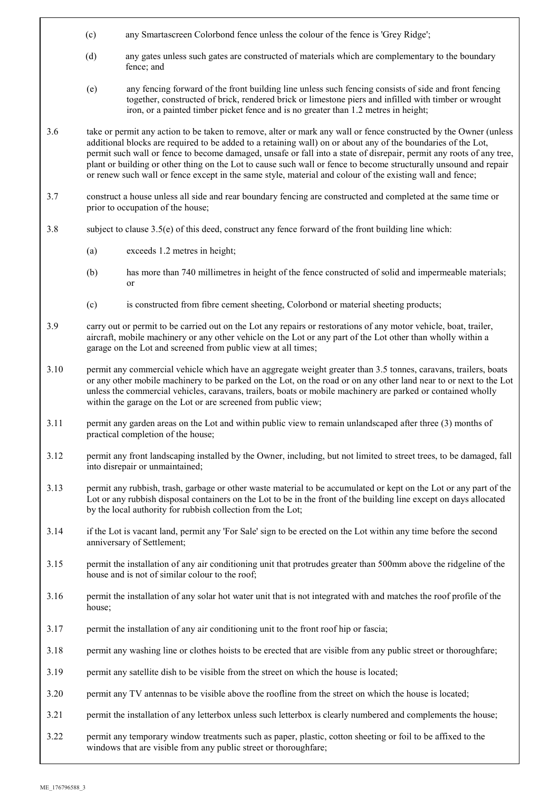- (c) any Smartascreen Colorbond fence unless the colour of the fence is 'Grey Ridge';
- (d) any gates unless such gates are constructed of materials which are complementary to the boundary fence; and
- (e) any fencing forward of the front building line unless such fencing consists of side and front fencing together, constructed of brick, rendered brick or limestone piers and infilled with timber or wrought iron, or a painted timber picket fence and is no greater than 1.2 metres in height;
- 3.6 take or permit any action to be taken to remove, alter or mark any wall or fence constructed by the Owner (unless additional blocks are required to be added to a retaining wall) on or about any of the boundaries of the Lot, permit such wall or fence to become damaged, unsafe or fall into a state of disrepair, permit any roots of any tree, plant or building or other thing on the Lot to cause such wall or fence to become structurally unsound and repair or renew such wall or fence except in the same style, material and colour of the existing wall and fence;
- 3.7 construct a house unless all side and rear boundary fencing are constructed and completed at the same time or prior to occupation of the house;
- 3.8 subject to clause 3.5(e) of this deed, construct any fence forward of the front building line which:
	- (a) exceeds 1.2 metres in height;
	- (b) has more than 740 millimetres in height of the fence constructed of solid and impermeable materials; or
	- (c) is constructed from fibre cement sheeting, Colorbond or material sheeting products;
- 3.9 carry out or permit to be carried out on the Lot any repairs or restorations of any motor vehicle, boat, trailer, aircraft, mobile machinery or any other vehicle on the Lot or any part of the Lot other than wholly within a garage on the Lot and screened from public view at all times;
- 3.10 permit any commercial vehicle which have an aggregate weight greater than 3.5 tonnes, caravans, trailers, boats or any other mobile machinery to be parked on the Lot, on the road or on any other land near to or next to the Lot unless the commercial vehicles, caravans, trailers, boats or mobile machinery are parked or contained wholly within the garage on the Lot or are screened from public view;
- 3.11 permit any garden areas on the Lot and within public view to remain unlandscaped after three (3) months of practical completion of the house;
- 3.12 permit any front landscaping installed by the Owner, including, but not limited to street trees, to be damaged, fall into disrepair or unmaintained;
- 3.13 permit any rubbish, trash, garbage or other waste material to be accumulated or kept on the Lot or any part of the Lot or any rubbish disposal containers on the Lot to be in the front of the building line except on days allocated by the local authority for rubbish collection from the Lot;
- 3.14 if the Lot is vacant land, permit any 'For Sale' sign to be erected on the Lot within any time before the second anniversary of Settlement;
- 3.15 permit the installation of any air conditioning unit that protrudes greater than 500mm above the ridgeline of the house and is not of similar colour to the roof;
- 3.16 permit the installation of any solar hot water unit that is not integrated with and matches the roof profile of the house;
- 3.17 permit the installation of any air conditioning unit to the front roof hip or fascia;
- 3.18 permit any washing line or clothes hoists to be erected that are visible from any public street or thoroughfare;
- 3.19 permit any satellite dish to be visible from the street on which the house is located;
- 3.20 permit any TV antennas to be visible above the roofline from the street on which the house is located;
- 3.21 permit the installation of any letterbox unless such letterbox is clearly numbered and complements the house;
- 3.22 permit any temporary window treatments such as paper, plastic, cotton sheeting or foil to be affixed to the windows that are visible from any public street or thoroughfare;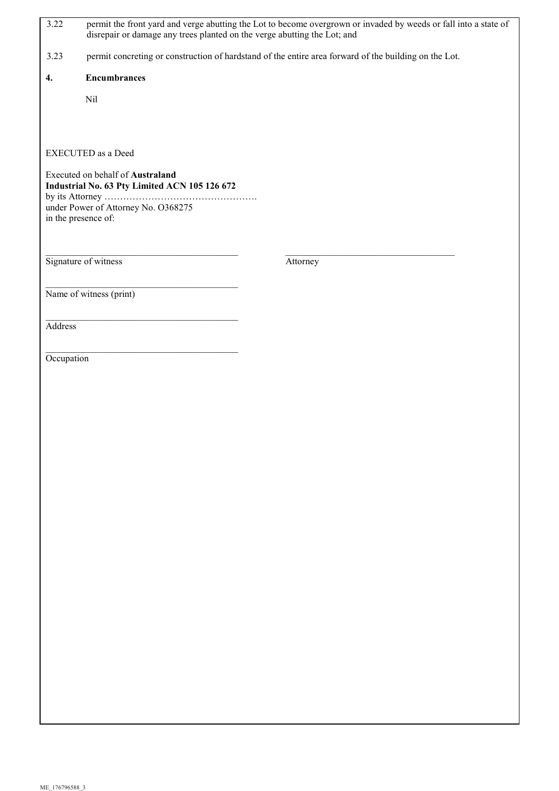| 3.22                                                                              | disrepair or damage any trees planted on the verge abutting the Lot; and | permit the front yard and verge abutting the Lot to become overgrown or invaded by weeds or fall into a state of |  |  |
|-----------------------------------------------------------------------------------|--------------------------------------------------------------------------|------------------------------------------------------------------------------------------------------------------|--|--|
| 3.23                                                                              |                                                                          | permit concreting or construction of hardstand of the entire area forward of the building on the Lot.            |  |  |
| 4.                                                                                | <b>Encumbrances</b>                                                      |                                                                                                                  |  |  |
|                                                                                   | Nil                                                                      |                                                                                                                  |  |  |
|                                                                                   |                                                                          |                                                                                                                  |  |  |
|                                                                                   | <b>EXECUTED</b> as a Deed                                                |                                                                                                                  |  |  |
| Executed on behalf of Australand<br>Industrial No. 63 Pty Limited ACN 105 126 672 |                                                                          |                                                                                                                  |  |  |
|                                                                                   | under Power of Attorney No. O368275                                      |                                                                                                                  |  |  |
|                                                                                   | in the presence of:                                                      |                                                                                                                  |  |  |
|                                                                                   |                                                                          |                                                                                                                  |  |  |
|                                                                                   | Signature of witness                                                     | Attorney                                                                                                         |  |  |
|                                                                                   | Name of witness (print)                                                  |                                                                                                                  |  |  |
|                                                                                   |                                                                          |                                                                                                                  |  |  |
| Address                                                                           |                                                                          |                                                                                                                  |  |  |
| Occupation                                                                        |                                                                          |                                                                                                                  |  |  |
|                                                                                   |                                                                          |                                                                                                                  |  |  |
|                                                                                   |                                                                          |                                                                                                                  |  |  |
|                                                                                   |                                                                          |                                                                                                                  |  |  |
|                                                                                   |                                                                          |                                                                                                                  |  |  |
|                                                                                   |                                                                          |                                                                                                                  |  |  |
|                                                                                   |                                                                          |                                                                                                                  |  |  |
|                                                                                   |                                                                          |                                                                                                                  |  |  |
|                                                                                   |                                                                          |                                                                                                                  |  |  |
|                                                                                   |                                                                          |                                                                                                                  |  |  |
|                                                                                   |                                                                          |                                                                                                                  |  |  |
|                                                                                   |                                                                          |                                                                                                                  |  |  |
|                                                                                   |                                                                          |                                                                                                                  |  |  |